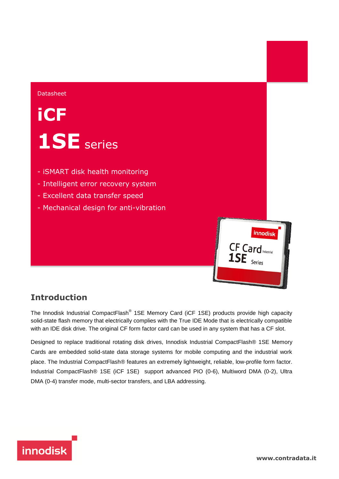#### Datasheet

# **iCF 1SE** series

- iSMART disk health monitoring
- Intelligent error recovery system
- Excellent data transfer speed
- Mechanical design for anti-vibration



### **Introduction**

The Innodisk Industrial CompactFlash® 1SE Memory Card (iCF 1SE) products provide high capacity solid-state flash memory that electrically complies with the True IDE Mode that is electrically compatible with an IDE disk drive. The original CF form factor card can be used in any system that has a CF slot.

Designed to replace traditional rotating disk drives, Innodisk Industrial CompactFlash® 1SE Memory Cards are embedded solid-state data storage systems for mobile computing and the industrial work place. The Industrial CompactFlash® features an extremely lightweight, reliable, low-profile form factor. Industrial CompactFlash® 1SE (iCF 1SE) support advanced PIO (0-6), Multiword DMA (0-2), Ultra DMA (0-4) transfer mode, multi-sector transfers, and LBA addressing.